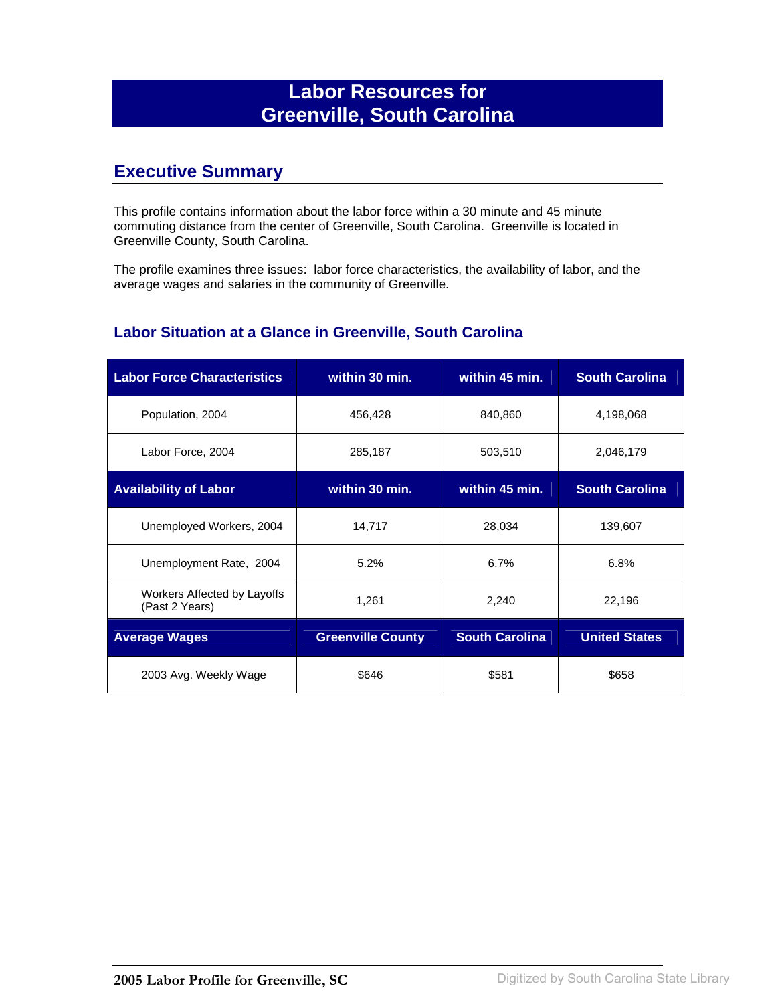# **Labor Resources for Greenville, South Carolina**

## **Executive Summary**

This profile contains information about the labor force within a 30 minute and 45 minute commuting distance from the center of Greenville, South Carolina. Greenville is located in Greenville County, South Carolina.

The profile examines three issues: labor force characteristics, the availability of labor, and the average wages and salaries in the community of Greenville.

#### **Labor Situation at a Glance in Greenville, South Carolina**

| <b>Labor Force Characteristics</b>            | within 30 min.           | within 45 min.        | <b>South Carolina</b> |
|-----------------------------------------------|--------------------------|-----------------------|-----------------------|
| Population, 2004                              | 456,428                  | 840,860               | 4,198,068             |
| Labor Force, 2004                             | 285,187                  | 503,510               | 2,046,179             |
| <b>Availability of Labor</b>                  | within 30 min.           | within 45 min.        | <b>South Carolina</b> |
| Unemployed Workers, 2004                      | 14,717                   | 28,034                | 139,607               |
| Unemployment Rate, 2004                       | 5.2%                     | 6.7%                  | 6.8%                  |
| Workers Affected by Layoffs<br>(Past 2 Years) | 1,261                    | 2,240                 | 22,196                |
| <b>Average Wages</b>                          | <b>Greenville County</b> | <b>South Carolina</b> | <b>United States</b>  |
| 2003 Avg. Weekly Wage                         | \$646                    | \$581                 | \$658                 |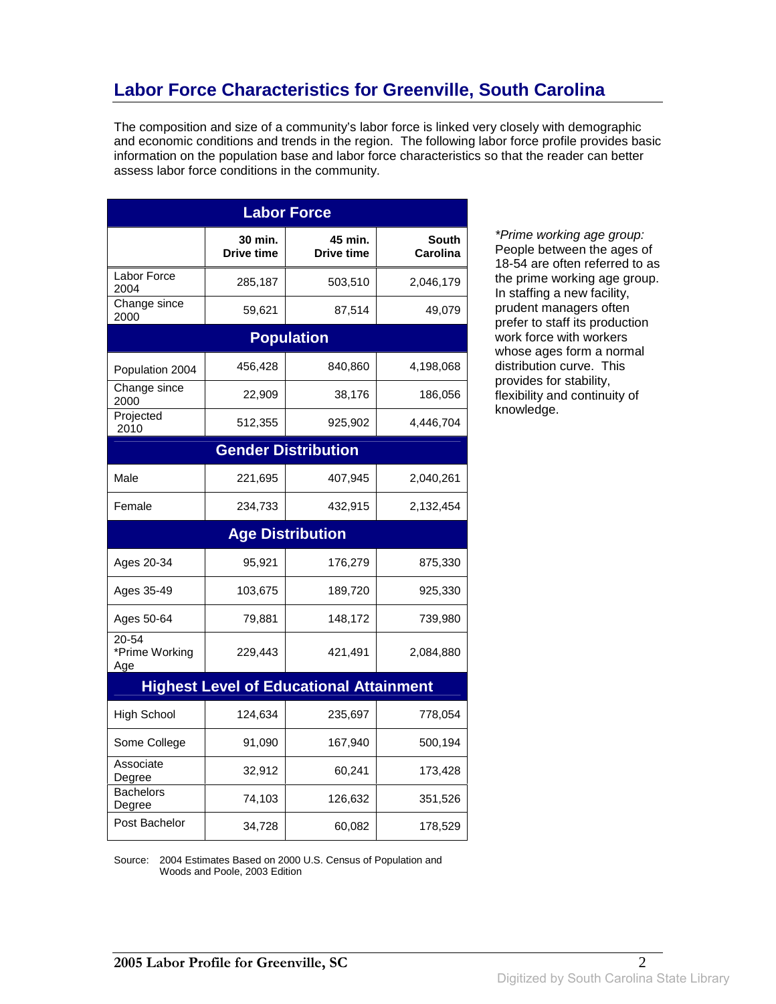# **Labor Force Characteristics for Greenville, South Carolina**

The composition and size of a community's labor force is linked very closely with demographic and economic conditions and trends in the region. The following labor force profile provides basic information on the population base and labor force characteristics so that the reader can better assess labor force conditions in the community.

| <b>Labor Force</b>             |                              |                                                |                          |
|--------------------------------|------------------------------|------------------------------------------------|--------------------------|
|                                | 30 min.<br><b>Drive time</b> | 45 min.<br>Drive time                          | <b>South</b><br>Carolina |
| Labor Force<br>2004            | 285,187                      | 503,510                                        | 2,046,179                |
| Change since<br>2000           | 59,621                       | 87,514                                         | 49,079                   |
|                                |                              | <b>Population</b>                              |                          |
| Population 2004                | 456,428                      | 840,860                                        | 4,198,068                |
| Change since<br>2000           | 22,909                       | 38,176                                         | 186,056                  |
| Projected<br>2010              | 512,355                      | 925,902                                        | 4,446,704                |
|                                |                              | <b>Gender Distribution</b>                     |                          |
| Male                           | 221,695                      | 407,945                                        | 2,040,261                |
| Female                         | 234,733                      | 432,915                                        | 2,132,454                |
|                                |                              | <b>Age Distribution</b>                        |                          |
| Ages 20-34                     | 95,921                       | 176,279                                        | 875,330                  |
| Ages 35-49                     | 103,675                      | 189,720                                        | 925,330                  |
| Ages 50-64                     | 79,881                       | 148,172                                        | 739,980                  |
| 20-54<br>*Prime Working<br>Age | 229,443                      | 421,491                                        | 2,084,880                |
|                                |                              | <b>Highest Level of Educational Attainment</b> |                          |
| <b>High School</b>             | 124,634                      | 235,697                                        | 778,054                  |
| Some College                   | 91,090                       | 167,940                                        | 500,194                  |
| Associate<br>Degree            | 32,912                       | 60,241                                         | 173,428                  |
| <b>Bachelors</b><br>Degree     | 74,103                       | 126,632                                        | 351,526                  |
| Post Bachelor                  | 34,728                       | 60,082                                         | 178,529                  |

\*Prime working age group: People between the ages of 18-54 are often referred to as the prime working age group. In staffing a new facility, prudent managers often prefer to staff its production work force with workers whose ages form a normal distribution curve. This provides for stability, flexibility and continuity of knowledge.

Source: 2004 Estimates Based on 2000 U.S. Census of Population and Woods and Poole, 2003 Edition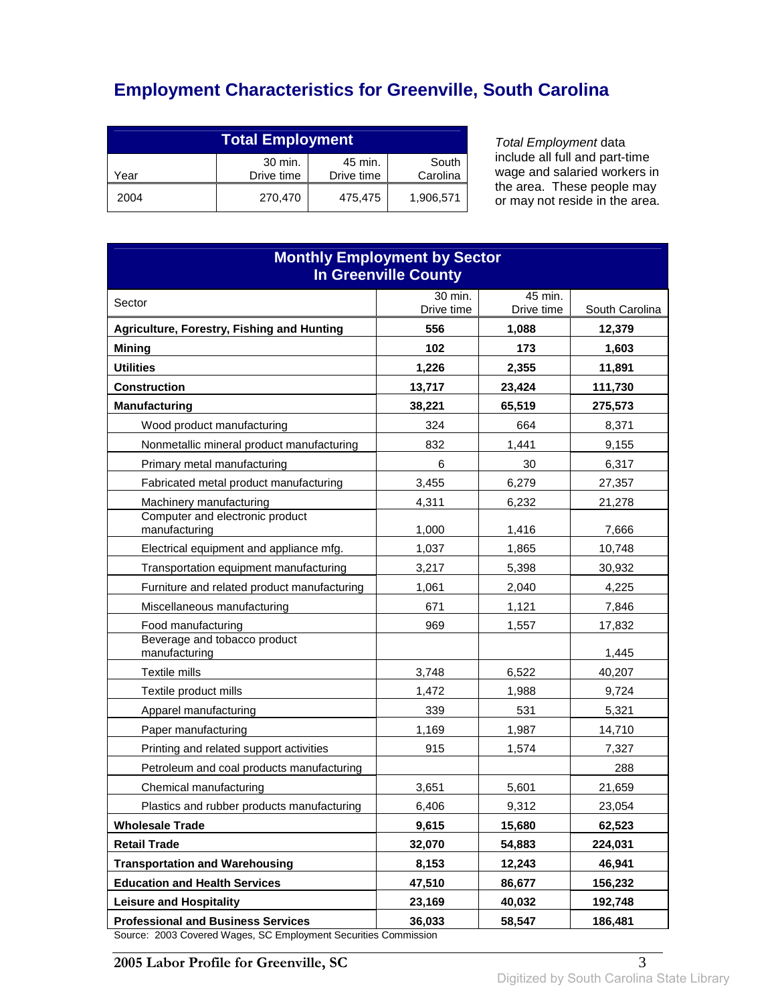# **Employment Characteristics for Greenville, South Carolina**

| <b>Total Employment</b>                                                     |         |         |           |
|-----------------------------------------------------------------------------|---------|---------|-----------|
| 30 min.<br>45 min.<br>South<br>Drive time<br>Carolina<br>Drive time<br>Year |         |         |           |
| 2004                                                                        | 270,470 | 475,475 | 1,906,571 |

Total Employment data include all full and part-time wage and salaried workers in the area. These people may or may not reside in the area.

| <b>Monthly Employment by Sector</b><br><b>In Greenville County</b> |            |              |                   |
|--------------------------------------------------------------------|------------|--------------|-------------------|
| Sector                                                             | 30 min.    | 45 min.      |                   |
|                                                                    | Drive time | Drive time   | South Carolina    |
| Agriculture, Forestry, Fishing and Hunting                         | 556<br>102 | 1,088<br>173 | 12,379<br>1,603   |
| <b>Mining</b><br><b>Utilities</b>                                  | 1,226      | 2,355        |                   |
| <b>Construction</b>                                                | 13,717     | 23,424       | 11,891<br>111,730 |
| <b>Manufacturing</b>                                               | 38,221     | 65,519       | 275,573           |
| Wood product manufacturing                                         | 324        | 664          | 8,371             |
| Nonmetallic mineral product manufacturing                          | 832        | 1,441        | 9,155             |
| Primary metal manufacturing                                        | 6          | 30           | 6,317             |
| Fabricated metal product manufacturing                             | 3,455      | 6,279        | 27,357            |
| Machinery manufacturing                                            | 4,311      | 6,232        | 21,278            |
| Computer and electronic product<br>manufacturing                   | 1,000      | 1,416        | 7,666             |
| Electrical equipment and appliance mfg.                            | 1,037      | 1,865        | 10,748            |
| Transportation equipment manufacturing                             | 3,217      | 5,398        | 30,932            |
| Furniture and related product manufacturing                        | 1,061      | 2,040        | 4,225             |
| Miscellaneous manufacturing                                        | 671        | 1,121        | 7,846             |
| Food manufacturing                                                 | 969        | 1,557        | 17,832            |
| Beverage and tobacco product<br>manufacturing                      |            |              | 1,445             |
| Textile mills                                                      | 3,748      | 6,522        | 40,207            |
| Textile product mills                                              | 1,472      | 1,988        | 9,724             |
| Apparel manufacturing                                              | 339        | 531          | 5,321             |
| Paper manufacturing                                                | 1,169      | 1,987        | 14,710            |
| Printing and related support activities                            | 915        | 1,574        | 7,327             |
| Petroleum and coal products manufacturing                          |            |              | 288               |
| Chemical manufacturing                                             | 3,651      | 5,601        | 21,659            |
| Plastics and rubber products manufacturing                         | 6,406      | 9,312        | 23,054            |
| <b>Wholesale Trade</b>                                             | 9,615      | 15,680       | 62,523            |
| <b>Retail Trade</b>                                                | 32,070     | 54,883       | 224,031           |
| <b>Transportation and Warehousing</b>                              | 8,153      | 12,243       | 46,941            |
| <b>Education and Health Services</b>                               | 47,510     | 86,677       | 156,232           |
| <b>Leisure and Hospitality</b>                                     | 23,169     | 40,032       | 192,748           |
| <b>Professional and Business Services</b>                          | 36,033     | 58,547       | 186,481           |

Source: 2003 Covered Wages, SC Employment Securities Commission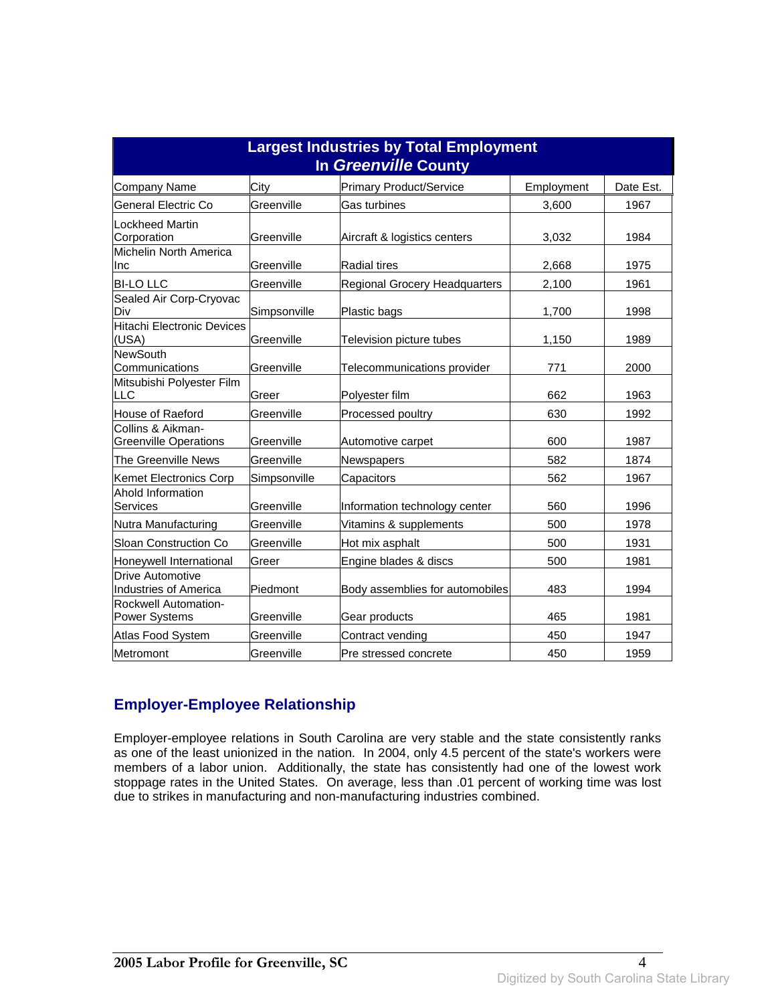| <b>Largest Industries by Total Employment</b><br>In Greenville County |              |                                 |            |           |
|-----------------------------------------------------------------------|--------------|---------------------------------|------------|-----------|
| <b>Company Name</b>                                                   | City         | <b>Primary Product/Service</b>  | Employment | Date Est. |
| General Electric Co                                                   | Greenville   | <b>Gas turbines</b>             | 3,600      | 1967      |
| Lockheed Martin<br>Corporation                                        | Greenville   | Aircraft & logistics centers    | 3,032      | 1984      |
| Michelin North America<br>Inc                                         | Greenville   | Radial tires                    | 2,668      | 1975      |
| <b>BI-LO LLC</b>                                                      | Greenville   | Regional Grocery Headquarters   | 2,100      | 1961      |
| Sealed Air Corp-Cryovac<br>Div                                        | Simpsonville | Plastic bags                    | 1,700      | 1998      |
| <b>Hitachi Electronic Devices</b><br>(USA)                            | Greenville   | Television picture tubes        | 1,150      | 1989      |
| <b>NewSouth</b><br>Communications                                     | Greenville   | Telecommunications provider     | 771        | 2000      |
| Mitsubishi Polyester Film<br>LLC                                      | Greer        | Polyester film                  | 662        | 1963      |
| House of Raeford                                                      | Greenville   | Processed poultry               | 630        | 1992      |
| Collins & Aikman-<br><b>Greenville Operations</b>                     | Greenville   | Automotive carpet               | 600        | 1987      |
| The Greenville News                                                   | Greenville   | Newspapers                      | 582        | 1874      |
| <b>Kemet Electronics Corp</b>                                         | Simpsonville | Capacitors                      | 562        | 1967      |
| Ahold Information<br><b>Services</b>                                  | Greenville   | Information technology center   | 560        | 1996      |
| Nutra Manufacturing                                                   | Greenville   | Vitamins & supplements          | 500        | 1978      |
| Sloan Construction Co                                                 | Greenville   | Hot mix asphalt                 | 500        | 1931      |
| Honeywell International                                               | Greer        | Engine blades & discs           | 500        | 1981      |
| <b>Drive Automotive</b><br><b>Industries of America</b>               | Piedmont     | Body assemblies for automobiles | 483        | 1994      |
| Rockwell Automation-<br><b>Power Systems</b>                          | Greenville   | Gear products                   | 465        | 1981      |
| Atlas Food System                                                     | Greenville   | Contract vending                | 450        | 1947      |
| Metromont                                                             | Greenville   | Pre stressed concrete           | 450        | 1959      |

#### **Employer-Employee Relationship**

Employer-employee relations in South Carolina are very stable and the state consistently ranks as one of the least unionized in the nation. In 2004, only 4.5 percent of the state's workers were members of a labor union. Additionally, the state has consistently had one of the lowest work stoppage rates in the United States. On average, less than .01 percent of working time was lost due to strikes in manufacturing and non-manufacturing industries combined.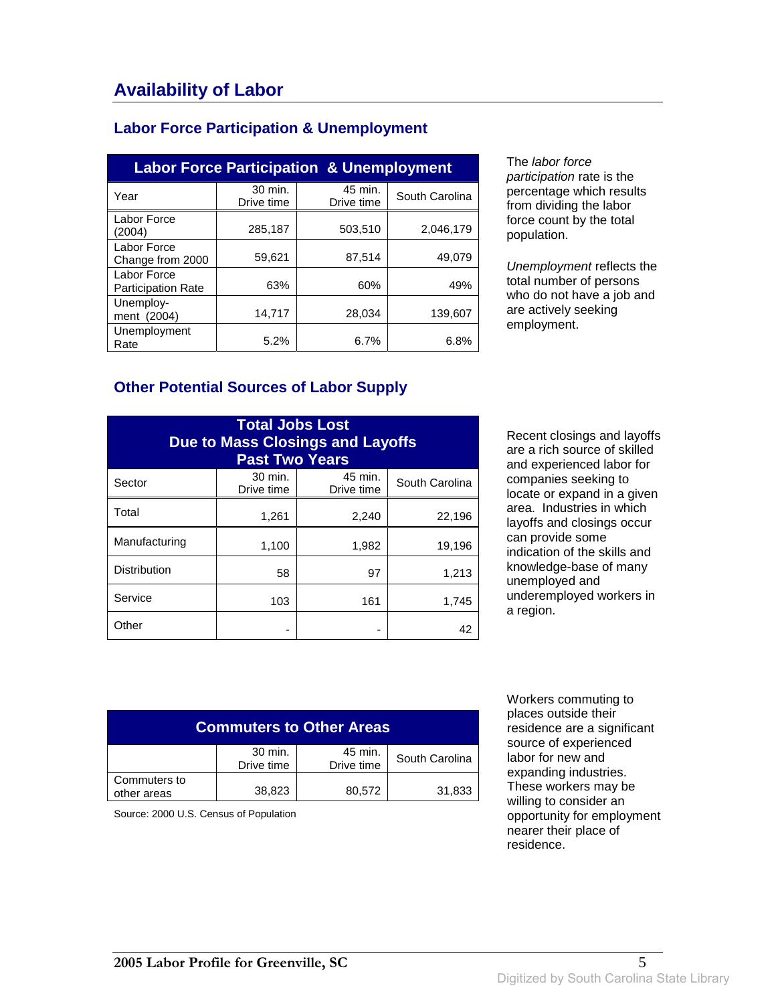### **Labor Force Participation & Unemployment**

| <b>Labor Force Participation &amp; Unemployment</b> |                       |                       |                |
|-----------------------------------------------------|-----------------------|-----------------------|----------------|
| Year                                                | 30 min.<br>Drive time | 45 min.<br>Drive time | South Carolina |
| Labor Force<br>(2004)                               | 285,187               | 503,510               | 2,046,179      |
| Labor Force<br>Change from 2000                     | 59,621                | 87,514                | 49,079         |
| Labor Force<br><b>Participation Rate</b>            | 63%                   | 60%                   | 49%            |
| Unemploy-<br>ment (2004)                            | 14,717                | 28.034                | 139.607        |
| Unemployment<br>Rate                                | 5.2%                  | 6.7%                  | 6.8%           |

The labor force participation rate is the percentage which results from dividing the labor force count by the total population.

Unemployment reflects the total number of persons who do not have a job and are actively seeking employment.

#### **Other Potential Sources of Labor Supply**

| <b>Total Jobs Lost</b><br><b>Due to Mass Closings and Layoffs</b><br><b>Past Two Years</b> |                       |                       |                |
|--------------------------------------------------------------------------------------------|-----------------------|-----------------------|----------------|
| Sector                                                                                     | 30 min.<br>Drive time | 45 min.<br>Drive time | South Carolina |
| Total                                                                                      | 1,261                 | 2,240                 | 22,196         |
| Manufacturing                                                                              | 1,100                 | 1,982                 | 19,196         |
| <b>Distribution</b>                                                                        | 58                    | 97                    | 1,213          |
| Service                                                                                    | 103                   | 161                   | 1,745          |
| Other                                                                                      |                       |                       | 42             |

Recent closings and layoffs are a rich source of skilled and experienced labor for companies seeking to locate or expand in a given area. Industries in which layoffs and closings occur can provide some indication of the skills and knowledge-base of many unemployed and underemployed workers in a region.

| <b>Commuters to Other Areas</b>                                  |        |        |        |  |
|------------------------------------------------------------------|--------|--------|--------|--|
| 30 min.<br>45 min.<br>South Carolina<br>Drive time<br>Drive time |        |        |        |  |
| Commuters to<br>other areas                                      | 38,823 | 80,572 | 31,833 |  |

Source: 2000 U.S. Census of Population

 Workers commuting to places outside their residence are a significant source of experienced labor for new and expanding industries. These workers may be willing to consider an opportunity for employment nearer their place of residence.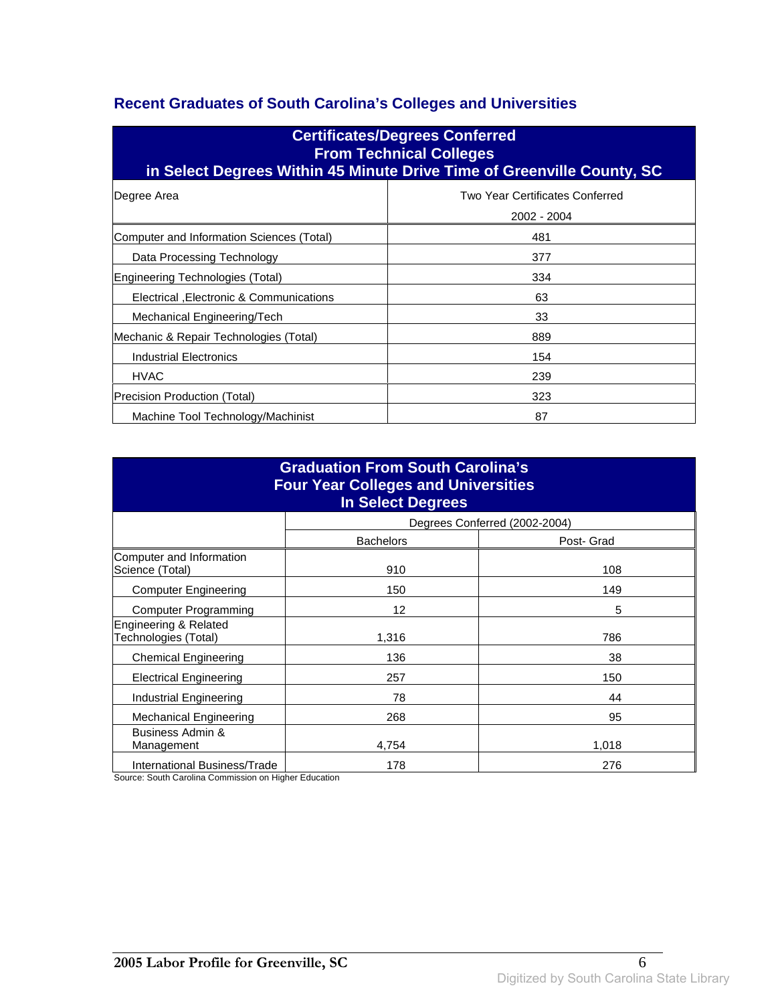### **Recent Graduates of South Carolina's Colleges and Universities**

| <b>Certificates/Degrees Conferred</b><br><b>From Technical Colleges</b><br>in Select Degrees Within 45 Minute Drive Time of Greenville County, SC |                                                |  |
|---------------------------------------------------------------------------------------------------------------------------------------------------|------------------------------------------------|--|
| Degree Area                                                                                                                                       | Two Year Certificates Conferred<br>2002 - 2004 |  |
| Computer and Information Sciences (Total)                                                                                                         | 481                                            |  |
| Data Processing Technology                                                                                                                        | 377                                            |  |
| Engineering Technologies (Total)                                                                                                                  | 334                                            |  |
| Electrical , Electronic & Communications                                                                                                          | 63                                             |  |
| Mechanical Engineering/Tech                                                                                                                       | 33                                             |  |
| Mechanic & Repair Technologies (Total)                                                                                                            | 889                                            |  |
| Industrial Electronics                                                                                                                            | 154                                            |  |
| <b>HVAC</b>                                                                                                                                       | 239                                            |  |
| Precision Production (Total)                                                                                                                      | 323                                            |  |
| Machine Tool Technology/Machinist                                                                                                                 | 87                                             |  |

| <b>Graduation From South Carolina's</b><br><b>Four Year Colleges and Universities</b><br><b>In Select Degrees</b> |                  |                               |  |
|-------------------------------------------------------------------------------------------------------------------|------------------|-------------------------------|--|
|                                                                                                                   |                  | Degrees Conferred (2002-2004) |  |
|                                                                                                                   | <b>Bachelors</b> | Post- Grad                    |  |
| Computer and Information<br>Science (Total)                                                                       | 910              | 108                           |  |
| <b>Computer Engineering</b>                                                                                       | 150              | 149                           |  |
| <b>Computer Programming</b>                                                                                       | 12               | 5                             |  |
| Engineering & Related<br>Technologies (Total)                                                                     | 1,316            | 786                           |  |
| <b>Chemical Engineering</b>                                                                                       | 136              | 38                            |  |
| <b>Electrical Engineering</b>                                                                                     | 257              | 150                           |  |
| Industrial Engineering                                                                                            | 78               | 44                            |  |
| <b>Mechanical Engineering</b>                                                                                     | 268              | 95                            |  |
| Business Admin &<br>Management                                                                                    | 4.754            | 1,018                         |  |
| International Business/Trade                                                                                      | 178              | 276                           |  |

Source: South Carolina Commission on Higher Education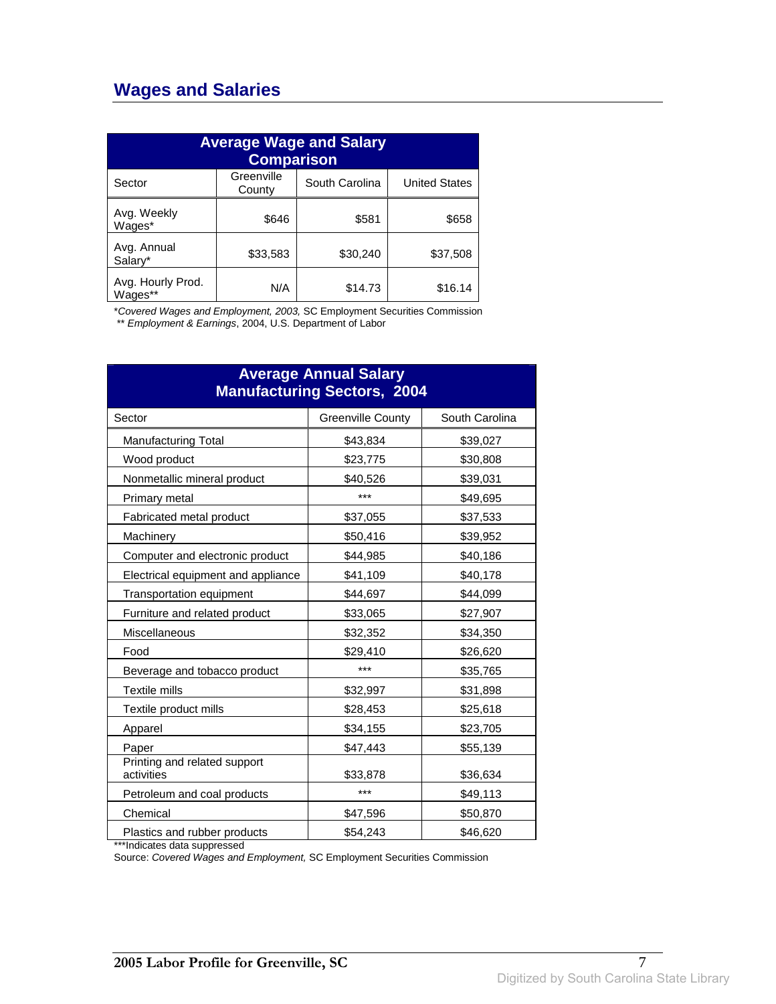## **Wages and Salaries**

| <b>Average Wage and Salary</b><br><b>Comparison</b> |                      |                |                      |
|-----------------------------------------------------|----------------------|----------------|----------------------|
| Sector                                              | Greenville<br>County | South Carolina | <b>United States</b> |
| Avg. Weekly<br>Wages*                               | \$646                | \$581          | \$658                |
| Avg. Annual<br>Salary*                              | \$33,583             | \$30,240       | \$37,508             |
| Avg. Hourly Prod.<br>Wages**                        | N/A                  | \$14.73        | \$16.14              |

\*Covered Wages and Employment, 2003, SC Employment Securities Commission

\*\* Employment & Earnings, 2004, U.S. Department of Labor

| <b>Average Annual Salary</b><br><b>Manufacturing Sectors, 2004</b> |                          |                |  |
|--------------------------------------------------------------------|--------------------------|----------------|--|
| Sector                                                             | <b>Greenville County</b> | South Carolina |  |
| <b>Manufacturing Total</b>                                         | \$43,834                 | \$39,027       |  |
| Wood product                                                       | \$23,775                 | \$30,808       |  |
| Nonmetallic mineral product                                        | \$40,526                 | \$39,031       |  |
| Primary metal                                                      | ***                      | \$49,695       |  |
| Fabricated metal product                                           | \$37,055                 | \$37,533       |  |
| Machinery                                                          | \$50,416                 | \$39,952       |  |
| Computer and electronic product                                    | \$44,985                 | \$40,186       |  |
| Electrical equipment and appliance                                 | \$41,109                 | \$40,178       |  |
| Transportation equipment                                           | \$44,697                 | \$44,099       |  |
| Furniture and related product                                      | \$33,065                 | \$27,907       |  |
| Miscellaneous                                                      | \$32,352                 | \$34,350       |  |
| Food                                                               | \$29,410                 | \$26,620       |  |
| Beverage and tobacco product                                       | ***                      | \$35,765       |  |
| <b>Textile mills</b>                                               | \$32,997                 | \$31,898       |  |
| Textile product mills                                              | \$28,453                 | \$25,618       |  |
| Apparel                                                            | \$34,155                 | \$23,705       |  |
| Paper                                                              | \$47,443                 | \$55,139       |  |
| Printing and related support<br>activities                         | \$33,878                 | \$36,634       |  |
| Petroleum and coal products                                        | ***                      | \$49,113       |  |
| Chemical                                                           | \$47,596                 | \$50,870       |  |
| Plastics and rubber products                                       | \$54,243                 | \$46,620       |  |

\*\*\*Indicates data suppressed

Source: Covered Wages and Employment, SC Employment Securities Commission